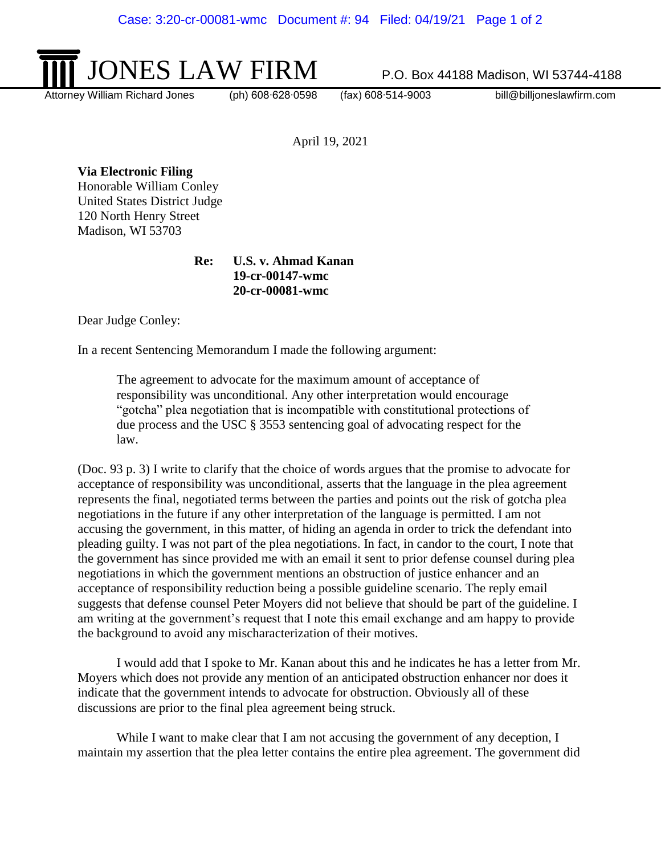

Attorney William Richard Jones (ph) 608∙628∙0598 (fax) 608∙514-9003 bill@billjoneslawfirm.com

April 19, 2021

**Via Electronic Filing** Honorable William Conley

United States District Judge 120 North Henry Street Madison, WI 53703

> **Re: U.S. v. Ahmad Kanan 19-cr-00147-wmc 20-cr-00081-wmc**

Dear Judge Conley:

In a recent Sentencing Memorandum I made the following argument:

The agreement to advocate for the maximum amount of acceptance of responsibility was unconditional. Any other interpretation would encourage "gotcha" plea negotiation that is incompatible with constitutional protections of due process and the USC § 3553 sentencing goal of advocating respect for the law.

(Doc. 93 p. 3) I write to clarify that the choice of words argues that the promise to advocate for acceptance of responsibility was unconditional, asserts that the language in the plea agreement represents the final, negotiated terms between the parties and points out the risk of gotcha plea negotiations in the future if any other interpretation of the language is permitted. I am not accusing the government, in this matter, of hiding an agenda in order to trick the defendant into pleading guilty. I was not part of the plea negotiations. In fact, in candor to the court, I note that the government has since provided me with an email it sent to prior defense counsel during plea negotiations in which the government mentions an obstruction of justice enhancer and an acceptance of responsibility reduction being a possible guideline scenario. The reply email suggests that defense counsel Peter Moyers did not believe that should be part of the guideline. I am writing at the government's request that I note this email exchange and am happy to provide the background to avoid any mischaracterization of their motives.

I would add that I spoke to Mr. Kanan about this and he indicates he has a letter from Mr. Moyers which does not provide any mention of an anticipated obstruction enhancer nor does it indicate that the government intends to advocate for obstruction. Obviously all of these discussions are prior to the final plea agreement being struck.

While I want to make clear that I am not accusing the government of any deception, I maintain my assertion that the plea letter contains the entire plea agreement. The government did